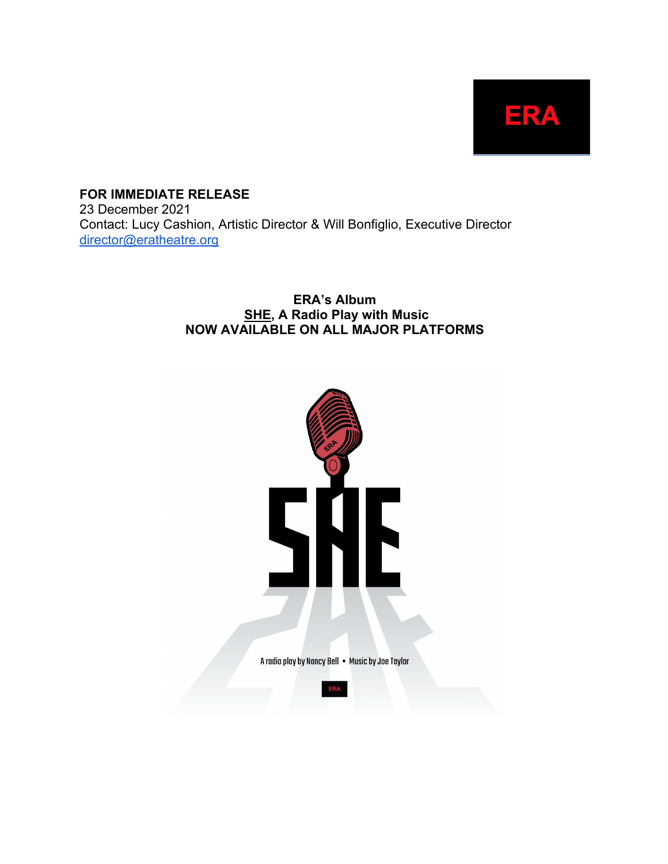

**FOR IMMEDIATE RELEASE** 23 December 2021 Contact: Lucy Cashion, Artistic Director & Will Bonfiglio, Executive Director director@eratheatre.org

#### **ERA's Album SHE, A Radio Play with Music NOW AVAILABLE ON ALL MAJOR PLATFORMS**

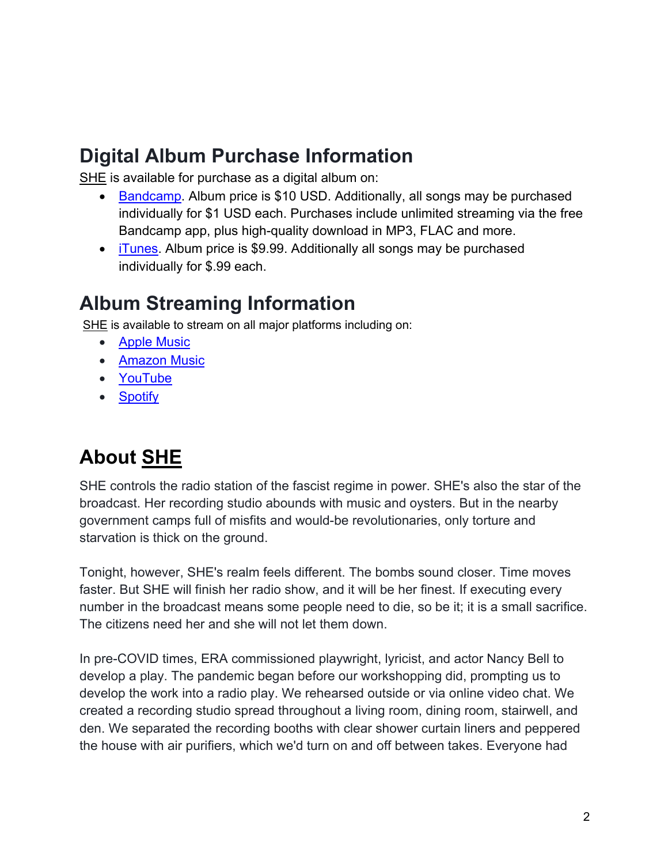## **Digital Album Purchase Information**

SHE is available for purchase as a digital album on:

- Bandcamp. Album price is \$10 USD. Additionally, all songs may be purchased individually for \$1 USD each. Purchases include unlimited streaming via the free Bandcamp app, plus high-quality download in MP3, FLAC and more.
- iTunes. Album price is \$9.99. Additionally all songs may be purchased individually for \$.99 each.

## **Album Streaming Information**

SHE is available to stream on all major platforms including on:

- Apple Music
- Amazon Music
- YouTube
- Spotify

# **About SHE**

SHE controls the radio station of the fascist regime in power. SHE's also the star of the broadcast. Her recording studio abounds with music and oysters. But in the nearby government camps full of misfits and would-be revolutionaries, only torture and starvation is thick on the ground.

Tonight, however, SHE's realm feels different. The bombs sound closer. Time moves faster. But SHE will finish her radio show, and it will be her finest. If executing every number in the broadcast means some people need to die, so be it; it is a small sacrifice. The citizens need her and she will not let them down.

In pre-COVID times, ERA commissioned playwright, lyricist, and actor Nancy Bell to develop a play. The pandemic began before our workshopping did, prompting us to develop the work into a radio play. We rehearsed outside or via online video chat. We created a recording studio spread throughout a living room, dining room, stairwell, and den. We separated the recording booths with clear shower curtain liners and peppered the house with air purifiers, which we'd turn on and off between takes. Everyone had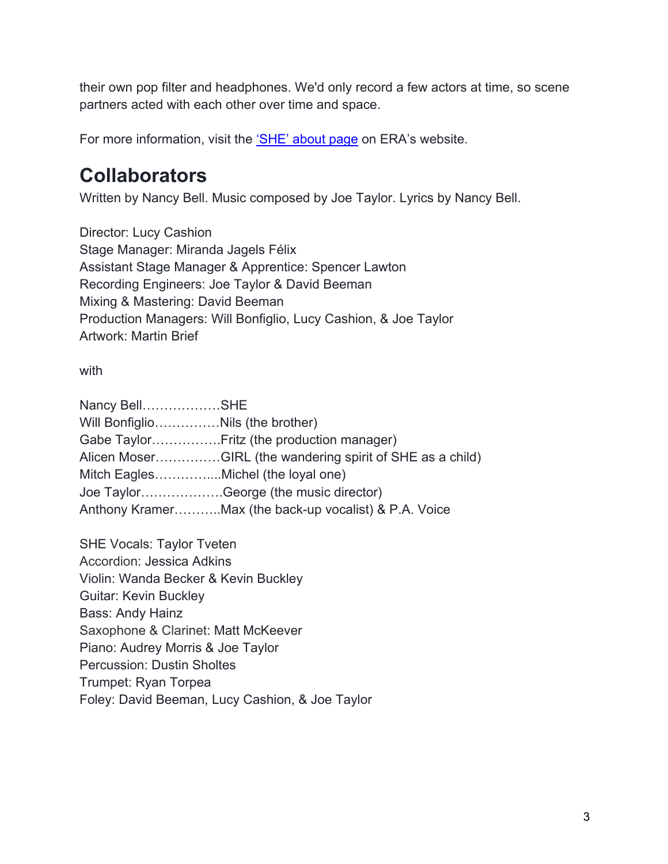their own pop filter and headphones. We'd only record a few actors at time, so scene partners acted with each other over time and space.

For more information, visit the 'SHE' about page on ERA's website.

## **Collaborators**

Written by Nancy Bell. Music composed by Joe Taylor. Lyrics by Nancy Bell.

Director: Lucy Cashion Stage Manager: Miranda Jagels Félix Assistant Stage Manager & Apprentice: Spencer Lawton Recording Engineers: Joe Taylor & David Beeman Mixing & Mastering: David Beeman Production Managers: Will Bonfiglio, Lucy Cashion, & Joe Taylor Artwork: Martin Brief

with

| Nancy BellSHE                      |                                                           |
|------------------------------------|-----------------------------------------------------------|
| Will BonfiglioNils (the brother)   |                                                           |
|                                    |                                                           |
|                                    | Alicen MoserGIRL (the wandering spirit of SHE as a child) |
| Mitch EaglesMichel (the loyal one) |                                                           |
|                                    | Joe TaylorGeorge (the music director)                     |
|                                    | Anthony KramerMax (the back-up vocalist) & P.A. Voice     |
|                                    |                                                           |

SHE Vocals: Taylor Tveten Accordion: Jessica Adkins Violin: Wanda Becker & Kevin Buckley Guitar: Kevin Buckley Bass: Andy Hainz Saxophone & Clarinet: Matt McKeever Piano: Audrey Morris & Joe Taylor Percussion: Dustin Sholtes Trumpet: Ryan Torpea Foley: David Beeman, Lucy Cashion, & Joe Taylor